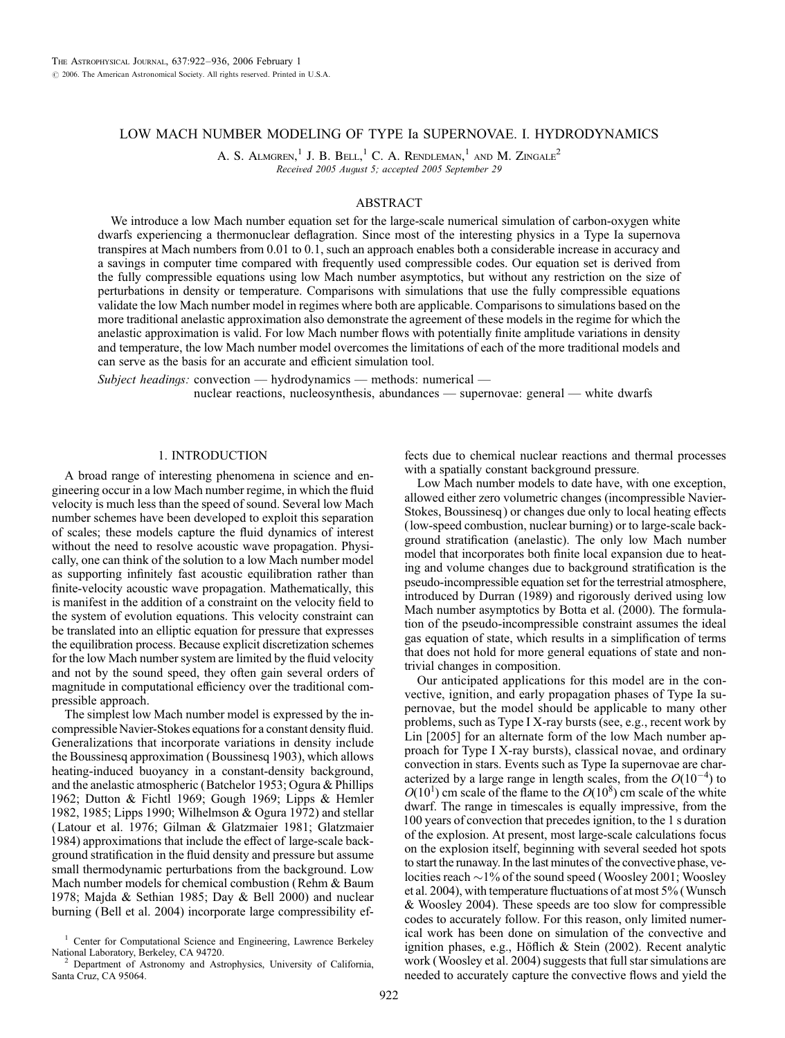# LOW MACH NUMBER MODELING OF TYPE Ia SUPERNOVAE. I. HYDRODYNAMICS

A. S. Almgren,<sup>1</sup> J. B. Bell,<sup>1</sup> C. A. Rendleman,<sup>1</sup> and M. Zingale<sup>2</sup> Received 2005 August 5; accepted 2005 September 29

## ABSTRACT

We introduce a low Mach number equation set for the large-scale numerical simulation of carbon-oxygen white dwarfs experiencing a thermonuclear deflagration. Since most of the interesting physics in a Type Ia supernova transpires at Mach numbers from 0.01 to 0.1, such an approach enables both a considerable increase in accuracy and a savings in computer time compared with frequently used compressible codes. Our equation set is derived from the fully compressible equations using low Mach number asymptotics, but without any restriction on the size of perturbations in density or temperature. Comparisons with simulations that use the fully compressible equations validate the low Mach number model in regimes where both are applicable. Comparisons to simulations based on the more traditional anelastic approximation also demonstrate the agreement of these models in the regime for which the anelastic approximation is valid. For low Mach number flows with potentially finite amplitude variations in density and temperature, the low Mach number model overcomes the limitations of each of the more traditional models and can serve as the basis for an accurate and efficient simulation tool.

Subject headings: convection — hydrodynamics — methods: numerical nuclear reactions, nucleosynthesis, abundances — supernovae: general — white dwarfs

## 1. INTRODUCTION

A broad range of interesting phenomena in science and engineering occur in a low Mach number regime, in which the fluid velocity is much less than the speed of sound. Several low Mach number schemes have been developed to exploit this separation of scales; these models capture the fluid dynamics of interest without the need to resolve acoustic wave propagation. Physically, one can think of the solution to a low Mach number model as supporting infinitely fast acoustic equilibration rather than finite-velocity acoustic wave propagation. Mathematically, this is manifest in the addition of a constraint on the velocity field to the system of evolution equations. This velocity constraint can be translated into an elliptic equation for pressure that expresses the equilibration process. Because explicit discretization schemes for the low Mach number system are limited by the fluid velocity and not by the sound speed, they often gain several orders of magnitude in computational efficiency over the traditional compressible approach.

The simplest low Mach number model is expressed by the incompressible Navier-Stokes equations for a constant density fluid. Generalizations that incorporate variations in density include the Boussinesq approximation (Boussinesq 1903), which allows heating-induced buoyancy in a constant-density background, and the anelastic atmospheric (Batchelor 1953; Ogura & Phillips 1962; Dutton & Fichtl 1969; Gough 1969; Lipps & Hemler 1982, 1985; Lipps 1990; Wilhelmson & Ogura 1972) and stellar (Latour et al. 1976; Gilman & Glatzmaier 1981; Glatzmaier 1984) approximations that include the effect of large-scale background stratification in the fluid density and pressure but assume small thermodynamic perturbations from the background. Low Mach number models for chemical combustion (Rehm & Baum 1978; Majda & Sethian 1985; Day & Bell 2000) and nuclear burning (Bell et al. 2004) incorporate large compressibility ef-

fects due to chemical nuclear reactions and thermal processes with a spatially constant background pressure.

Low Mach number models to date have, with one exception, allowed either zero volumetric changes (incompressible Navier-Stokes, Boussinesq ) or changes due only to local heating effects (low-speed combustion, nuclear burning) or to large-scale background stratification (anelastic). The only low Mach number model that incorporates both finite local expansion due to heating and volume changes due to background stratification is the pseudo-incompressible equation set for the terrestrial atmosphere, introduced by Durran (1989) and rigorously derived using low Mach number asymptotics by Botta et al. (2000). The formulation of the pseudo-incompressible constraint assumes the ideal gas equation of state, which results in a simplification of terms that does not hold for more general equations of state and nontrivial changes in composition.

Our anticipated applications for this model are in the convective, ignition, and early propagation phases of Type Ia supernovae, but the model should be applicable to many other problems, such as Type I X-ray bursts (see, e.g., recent work by Lin [2005] for an alternate form of the low Mach number approach for Type I X-ray bursts), classical novae, and ordinary convection in stars. Events such as Type Ia supernovae are characterized by a large range in length scales, from the  $O(10^{-4})$  to  $O(10^1)$  cm scale of the flame to the  $O(10^8)$  cm scale of the white dwarf. The range in timescales is equally impressive, from the 100 years of convection that precedes ignition, to the 1 s duration of the explosion. At present, most large-scale calculations focus on the explosion itself, beginning with several seeded hot spots to start the runaway. In the last minutes of the convective phase, velocities reach  ${\sim}1\%$  of the sound speed (Woosley 2001; Woosley et al. 2004), with temperature fluctuations of at most 5% (Wunsch & Woosley 2004). These speeds are too slow for compressible codes to accurately follow. For this reason, only limited numerical work has been done on simulation of the convective and ignition phases, e.g., Höflich  $\&$  Stein (2002). Recent analytic work (Woosley et al. 2004) suggests that full star simulations are needed to accurately capture the convective flows and yield the

<sup>&</sup>lt;sup>1</sup> Center for Computational Science and Engineering, Lawrence Berkeley National Laboratory, Berkeley, CA 94720.

Department of Astronomy and Astrophysics, University of California, Santa Cruz, CA 95064.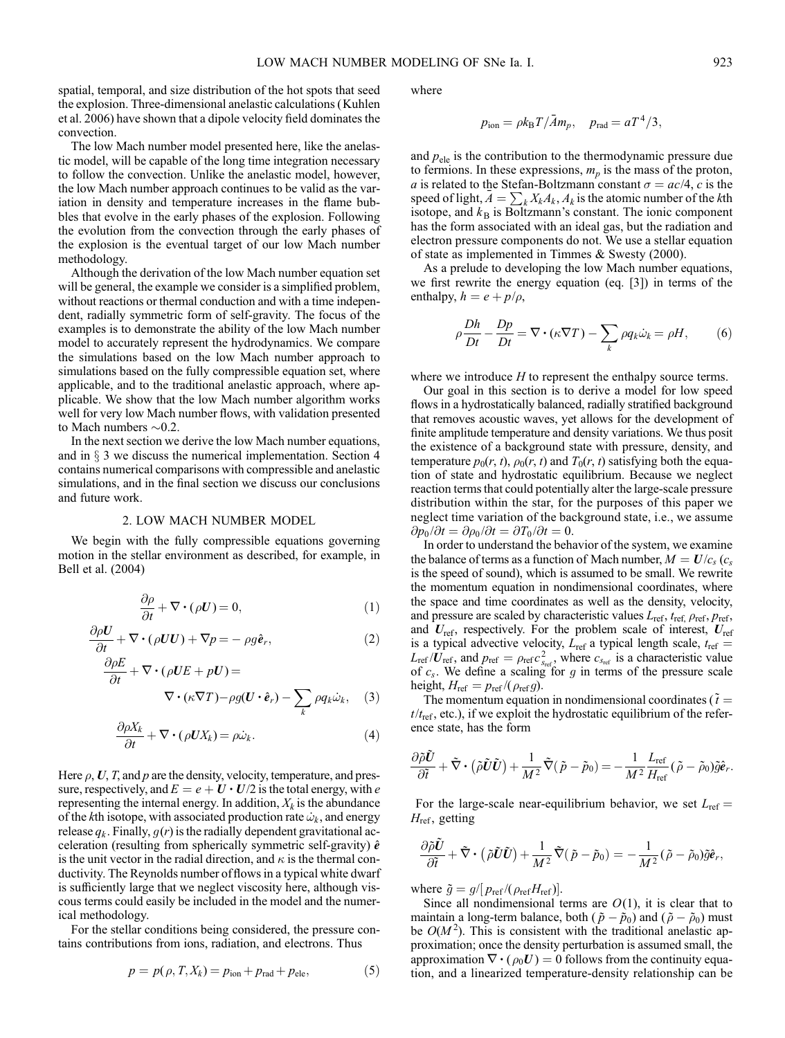spatial, temporal, and size distribution of the hot spots that seed the explosion. Three-dimensional anelastic calculations (Kuhlen et al. 2006) have shown that a dipole velocity field dominates the convection.

The low Mach number model presented here, like the anelastic model, will be capable of the long time integration necessary to follow the convection. Unlike the anelastic model, however, the low Mach number approach continues to be valid as the variation in density and temperature increases in the flame bubbles that evolve in the early phases of the explosion. Following the evolution from the convection through the early phases of the explosion is the eventual target of our low Mach number methodology.

Although the derivation of the low Mach number equation set will be general, the example we consider is a simplified problem, without reactions or thermal conduction and with a time independent, radially symmetric form of self-gravity. The focus of the examples is to demonstrate the ability of the low Mach number model to accurately represent the hydrodynamics. We compare the simulations based on the low Mach number approach to simulations based on the fully compressible equation set, where applicable, and to the traditional anelastic approach, where applicable. We show that the low Mach number algorithm works well for very low Mach number flows, with validation presented to Mach numbers  $\sim 0.2$ .

In the next section we derive the low Mach number equations, and in  $\S$  3 we discuss the numerical implementation. Section 4 contains numerical comparisons with compressible and anelastic simulations, and in the final section we discuss our conclusions and future work.

### 2. LOW MACH NUMBER MODEL

We begin with the fully compressible equations governing motion in the stellar environment as described, for example, in Bell et al. (2004)

$$
\frac{\partial \rho}{\partial t} + \nabla \cdot (\rho U) = 0,\tag{1}
$$

$$
\frac{\partial \rho U}{\partial t} + \nabla \cdot (\rho U U) + \nabla p = -\rho g \hat{e}_r, \tag{2}
$$

$$
\frac{\partial \rho E}{\partial t} + \nabla \cdot (\rho UE + pU) =
$$
  
 
$$
\nabla \cdot (\kappa \nabla T) - \rho g(U \cdot \hat{e}_r) - \sum_{k} \rho q_k \dot{\omega}_k, \quad (3)
$$

$$
\frac{\partial \rho X_k}{\partial t} + \nabla \cdot (\rho U X_k) = \rho \dot{\omega}_k. \tag{4}
$$

Here  $\rho$ , U, T, and p are the density, velocity, temperature, and pressure, respectively, and  $E = e + U \cdot U/2$  is the total energy, with e representing the internal energy. In addition,  $X_k$  is the abundance of the kth isotope, with associated production rate  $\dot{\omega}_k$ , and energy release  $q_k$ . Finally,  $g(r)$  is the radially dependent gravitational acceleration (resulting from spherically symmetric self-gravity)  $\hat{e}$ is the unit vector in the radial direction, and  $\kappa$  is the thermal conductivity. The Reynolds number of flows in a typical white dwarf is sufficiently large that we neglect viscosity here, although viscous terms could easily be included in the model and the numerical methodology.

For the stellar conditions being considered, the pressure contains contributions from ions, radiation, and electrons. Thus

$$
p = p(\rho, T, X_k) = p_{\text{ion}} + p_{\text{rad}} + p_{\text{ele}},
$$
\n
$$
(5)
$$

where

$$
p_{\rm ion} = \rho k_{\rm B} T / \bar{A} m_p, \quad p_{\rm rad} = a T^4 / 3,
$$

and  $p_{\text{ele}}$  is the contribution to the thermodynamic pressure due to fermions. In these expressions,  $m_p$  is the mass of the proton, a is related to the Stefan-Boltzmann constant  $\sigma = ac/4$ , c is the speed of light,  $\overline{A} = \sum_k X_k A_k$ ,  $A_k$  is the atomic number of the kth isotope, and  $k_B$  is Boltzmann's constant. The ionic component has the form associated with an ideal gas, but the radiation and electron pressure components do not. We use a stellar equation of state as implemented in Timmes & Swesty (2000).

As a prelude to developing the low Mach number equations, we first rewrite the energy equation (eq. [3]) in terms of the enthalpy,  $h = e + p/\rho$ ,

$$
\rho \frac{Dh}{Dt} - \frac{Dp}{Dt} = \nabla \cdot (\kappa \nabla T) - \sum_{k} \rho q_k \dot{\omega}_k = \rho H,\tag{6}
$$

where we introduce  $H$  to represent the enthalpy source terms.

Our goal in this section is to derive a model for low speed flows in a hydrostatically balanced, radially stratified background that removes acoustic waves, yet allows for the development of finite amplitude temperature and density variations. We thus posit the existence of a background state with pressure, density, and temperature  $p_0(r, t)$ ,  $\rho_0(r, t)$  and  $T_0(r, t)$  satisfying both the equation of state and hydrostatic equilibrium. Because we neglect reaction terms that could potentially alter the large-scale pressure distribution within the star, for the purposes of this paper we neglect time variation of the background state, i.e., we assume  $\frac{\partial p_0}{\partial t} = \frac{\partial \rho_0}{\partial t} = \frac{\partial T_0}{\partial t} = 0.$ 

In order to understand the behavior of the system, we examine the balance of terms as a function of Mach number,  $M = U/c<sub>s</sub>$  ( $c<sub>s</sub>$ is the speed of sound), which is assumed to be small. We rewrite the momentum equation in nondimensional coordinates, where the space and time coordinates as well as the density, velocity, and pressure are scaled by characteristic values  $L_{ref}$ ,  $t_{ref}$ ,  $\rho_{ref}$ ,  $p_{ref}$ , and  $U_{\text{ref}}$ , respectively. For the problem scale of interest,  $U_{\text{ref}}$ is a typical advective velocity,  $L_{ref}$  a typical length scale,  $t_{ref}$  =  $L_{\text{ref}} / U_{\text{ref}}$ , and  $p_{\text{ref}} = \rho_{\text{ref}} c_{s_{\text{ref}}}^2$ , where  $c_{s_{\text{ref}}}$  is a characteristic value of  $c_s$ . We define a scaling for g in terms of the pressure scale height,  $H_{\text{ref}} = p_{\text{ref}}/(\rho_{\text{ref}} g)$ .

The momentum equation in nondimensional coordinates ( $\tilde{t}$  =  $t/t_{\text{ref}}$ , etc.), if we exploit the hydrostatic equilibrium of the reference state, has the form

$$
\frac{\partial \tilde{\rho} \tilde{\bm{U}}}{\partial \tilde{t}}+\tilde{\nabla}\bm{\cdot}\left(\tilde{\rho}\tilde{\bm{U}}\tilde{\bm{U}}\right)+\frac{1}{M^2}\tilde{\nabla}(\tilde{p}-\tilde{p}_0)=-\frac{1}{M^2}\frac{L_{\text{ref}}}{H_{\text{ref}}}(\tilde{\rho}-\tilde{\rho}_0)\tilde{g}\hat{\bm{e}}_r.
$$

For the large-scale near-equilibrium behavior, we set  $L_{ref}$  =  $H_{\text{ref}}$ , getting

$$
\frac{\partial \tilde{\rho} \tilde{U}}{\partial \tilde{t}} + \tilde{\nabla} \cdot (\tilde{\rho} \tilde{U} \tilde{U}) + \frac{1}{M^2} \tilde{\nabla} (\tilde{p} - \tilde{p}_0) = -\frac{1}{M^2} (\tilde{\rho} - \tilde{\rho}_0) \tilde{g} \hat{e}_r,
$$

where  $\tilde{g} = g/[p_{\text{ref}}/(\rho_{\text{ref}}H_{\text{ref}})].$ 

Since all nondimensional terms are  $O(1)$ , it is clear that to maintain a long-term balance, both ( $\tilde{p} - \tilde{p}_0$ ) and ( $\tilde{\rho} - \tilde{p}_0$ ) must be  $O(M^2)$ . This is consistent with the traditional anelastic approximation; once the density perturbation is assumed small, the approximation  $\nabla \cdot (\rho_0 U) = 0$  follows from the continuity equation, and a linearized temperature-density relationship can be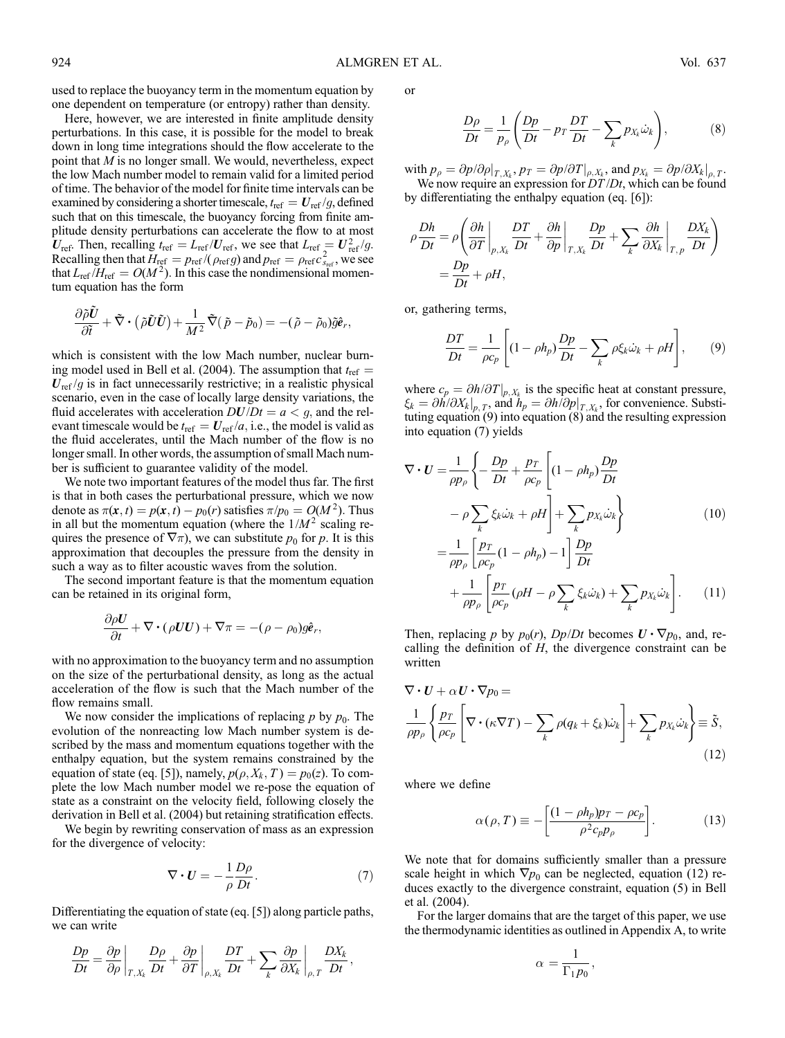used to replace the buoyancy term in the momentum equation by one dependent on temperature (or entropy) rather than density.

Here, however, we are interested in finite amplitude density perturbations. In this case, it is possible for the model to break down in long time integrations should the flow accelerate to the point that M is no longer small. We would, nevertheless, expect the low Mach number model to remain valid for a limited period of time. The behavior of the model for finite time intervals can be examined by considering a shorter timescale,  $t_{ref} = U_{ref}/g$ , defined such that on this timescale, the buoyancy forcing from finite amplitude density perturbations can accelerate the flow to at most  $U_{\text{ref}}$ . Then, recalling  $t_{\text{ref}} = L_{\text{ref}} / U_{\text{ref}}$ , we see that  $L_{\text{ref}} = U_{\text{ref}}^2 / g$ . Recalling then that  $H_{\text{ref}} = p_{\text{ref}} / (p_{\text{ref}} g)$  and  $p_{\text{ref}} = p_{\text{ref}} c_{s_{\text{ref}}}^2$ , we see that  $L_{ref}/H_{ref} = O(M^2)$ . In this case the nondimensional momentum equation has the form

$$
\frac{\partial \tilde{\rho} \tilde{U}}{\partial \tilde{t}} + \tilde{\nabla} \boldsymbol{\cdot} \left( \tilde{\rho} \tilde{U} \tilde{U} \right) + \frac{1}{M^2} \tilde{\nabla} (\tilde{p} - \tilde{p}_0) = -(\tilde{\rho} - \tilde{\rho}_0) \tilde{g} \hat{e}_r,
$$

which is consistent with the low Mach number, nuclear burning model used in Bell et al. (2004). The assumption that  $t_{\text{ref}} =$  $U_{\text{ref}}/g$  is in fact unnecessarily restrictive; in a realistic physical scenario, even in the case of locally large density variations, the fluid accelerates with acceleration  $DU/Dt = a < g$ , and the relevant timescale would be  $t_{ref} = U_{ref}/a$ , i.e., the model is valid as the fluid accelerates, until the Mach number of the flow is no longer small. In other words, the assumption of small Mach number is sufficient to guarantee validity of the model.

We note two important features of the model thus far. The first is that in both cases the perturbational pressure, which we now denote as  $\pi(\mathbf{x}, t) = p(\mathbf{x}, t) - p_0(r)$  satisfies  $\pi/p_0 = O(M^2)$ . Thus in all but the momentum equation (where the  $1/M^2$  scaling requires the presence of  $\nabla \pi$ ), we can substitute  $p_0$  for p. It is this approximation that decouples the pressure from the density in such a way as to filter acoustic waves from the solution.

The second important feature is that the momentum equation can be retained in its original form,

$$
\frac{\partial \rho U}{\partial t} + \nabla \cdot (\rho U U) + \nabla \pi = -(\rho - \rho_0) g \hat{\boldsymbol{e}}_r,
$$

 $\sim$   $-$ 

with no approximation to the buoyancy term and no assumption on the size of the perturbational density, as long as the actual acceleration of the flow is such that the Mach number of the flow remains small.

We now consider the implications of replacing  $p$  by  $p_0$ . The evolution of the nonreacting low Mach number system is described by the mass and momentum equations together with the enthalpy equation, but the system remains constrained by the equation of state (eq. [5]), namely,  $p(\rho, X_k, T) = p_0(z)$ . To complete the low Mach number model we re-pose the equation of state as a constraint on the velocity field, following closely the derivation in Bell et al. (2004) but retaining stratification effects.

We begin by rewriting conservation of mass as an expression for the divergence of velocity:

$$
\nabla \cdot \mathbf{U} = -\frac{1}{\rho} \frac{D\rho}{Dt}.
$$
 (7)

Differentiating the equation of state (eq. [5]) along particle paths, we can write

$$
\frac{Dp}{Dt} = \frac{\partial p}{\partial \rho}\bigg|_{T,X_k} \frac{D\rho}{Dt} + \frac{\partial p}{\partial T}\bigg|_{\rho,X_k} \frac{DT}{Dt} + \sum_k \frac{\partial p}{\partial X_k}\bigg|_{\rho,T} \frac{DX_k}{Dt},
$$

or

$$
\frac{D\rho}{Dt} = \frac{1}{p_{\rho}} \left( \frac{Dp}{Dt} - p_T \frac{DT}{Dt} - \sum_{k} p_{X_k} \dot{\omega}_k \right),\tag{8}
$$

with  $p_{\rho} = \partial p/\partial \rho|_{T, X_k}, p_T = \partial p/\partial T|_{\rho, X_k},$  and  $p_{X_k} = \partial p/\partial X_k|_{\rho, T}$ .

We now require an expression for  $DT/Dt$ , which can be found by differentiating the enthalpy equation (eq. [6]):

$$
\rho \frac{Dh}{Dt} = \rho \left( \frac{\partial h}{\partial T} \bigg|_{p, X_k} \frac{DT}{Dt} + \frac{\partial h}{\partial p} \bigg|_{T, X_k} \frac{Dp}{Dt} + \sum_k \frac{\partial h}{\partial X_k} \bigg|_{T, p} \frac{DX_k}{Dt} \right)
$$
  
=  $\frac{Dp}{Dt} + \rho H$ ,

or, gathering terms,

$$
\frac{DT}{Dt} = \frac{1}{\rho c_p} \left[ (1 - \rho h_p) \frac{Dp}{Dt} - \sum_k \rho \xi_k \dot{\omega}_k + \rho H \right],\tag{9}
$$

where  $c_p = \partial h / \partial T|_{p, X_k}$  is the specific heat at constant pressure,  $\xi_k = \partial h / \partial X_k \big|_{p,T}$ , and  $h_p = \partial h / \partial p \big|_{T,X_k}$ , for convenience. Substituting equation (9) into equation (8) and the resulting expression into equation (7) yields

$$
\nabla \cdot \mathbf{U} = \frac{1}{\rho p_{\rho}} \left\{ -\frac{Dp}{Dt} + \frac{p_T}{\rho c_p} \left[ (1 - \rho h_p) \frac{Dp}{Dt} \right. \right.\left. - \rho \sum_{k} \xi_k \dot{\omega}_k + \rho H \right] + \sum_{k} p_{X_k} \dot{\omega}_k \right\}
$$
\n
$$
= \frac{1}{\rho p_{\rho}} \left[ \frac{p_T}{\rho c_p} (1 - \rho h_p) - 1 \right] \frac{Dp}{Dt} \left. + \frac{1}{\rho p_{\rho}} \left[ \frac{p_T}{\rho c_p} (\rho H - \rho \sum_{k} \xi_k \dot{\omega}_k) + \sum_{k} p_{X_k} \dot{\omega}_k \right]. \tag{11}
$$

Then, replacing p by  $p_0(r)$ ,  $Dp/Dt$  becomes  $\mathbf{U} \cdot \nabla p_0$ , and, recalling the definition of  $H$ , the divergence constraint can be written

$$
\nabla \cdot \mathbf{U} + \alpha \mathbf{U} \cdot \nabla p_0 =
$$
  
\n
$$
\frac{1}{\rho p_\rho} \left\{ \frac{p_T}{\rho c_p} \left[ \nabla \cdot (\kappa \nabla T) - \sum_k \rho (q_k + \xi_k) \dot{\omega}_k \right] + \sum_k p_{X_k} \dot{\omega}_k \right\} \equiv \tilde{S},
$$
\n(12)

where we define

$$
\alpha(\rho, T) \equiv -\left[\frac{(1 - \rho h_p)p_T - \rho c_p}{\rho^2 c_p p_\rho}\right].
$$
 (13)

We note that for domains sufficiently smaller than a pressure scale height in which  $\nabla p_0$  can be neglected, equation (12) reduces exactly to the divergence constraint, equation (5) in Bell et al. (2004).

For the larger domains that are the target of this paper, we use the thermodynamic identities as outlined in Appendix A, to write

$$
\alpha = \frac{1}{\Gamma_1 p_0},
$$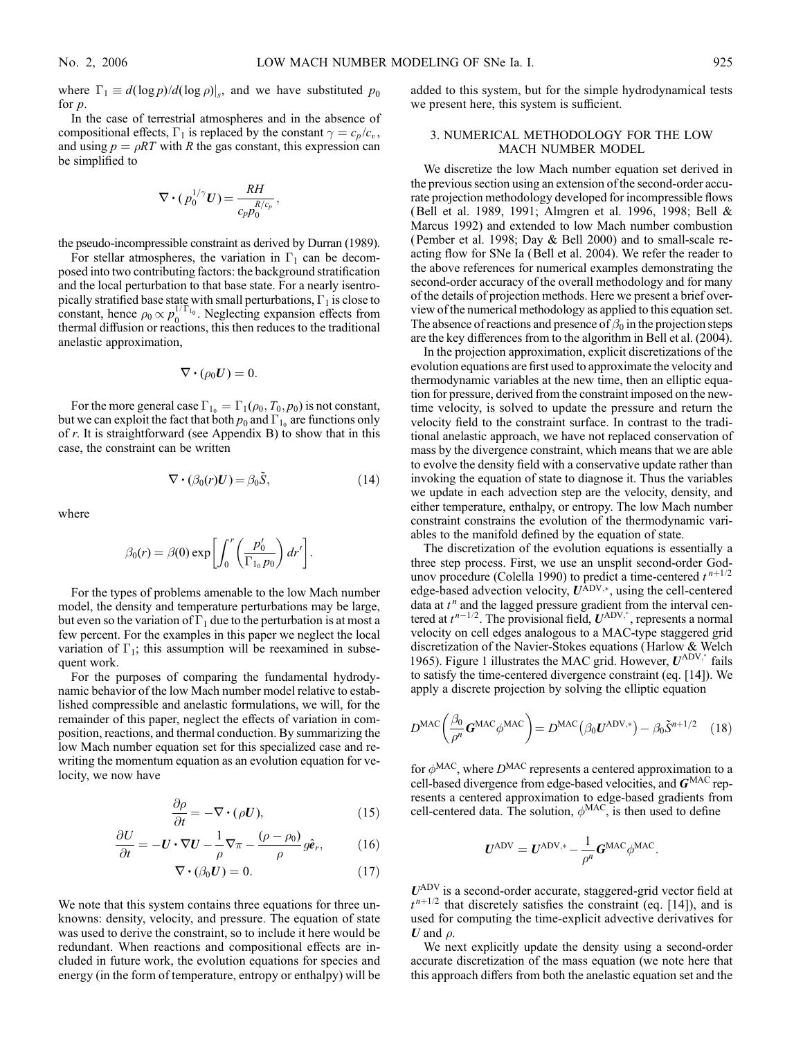where  $\Gamma_1 \equiv d(\log p)/d(\log \rho)|_s$ , and we have substituted  $p_0$ for  $p$ .

In the case of terrestrial atmospheres and in the absence of compositional effects,  $\Gamma_1$  is replaced by the constant  $\gamma = c_p / c_v$ , and using  $p = \rho RT$  with R the gas constant, this expression can be simplified to

$$
\nabla\boldsymbol{\cdot}(\,p_0^{1/\gamma}\boldsymbol{U})\!=\!\frac{R H}{c_p p_0^{R/c_p}}\,,
$$

the pseudo-incompressible constraint as derived by Durran (1989).

For stellar atmospheres, the variation in  $\Gamma_1$  can be decomposed into two contributing factors: the background stratification and the local perturbation to that base state. For a nearly isentropically stratified base state with small perturbations,  $\Gamma_1$  is close to constant, hence  $\rho_0 \propto p_0^{1/\Gamma_{10}}$ . Neglecting expansion effects from thermal diffusion or reactions, this then reduces to the traditional anelastic approximation,

$$
\nabla\bm{\cdot}(\rho_0\bm{U})=0.
$$

For the more general case  $\Gamma_{1_0} = \Gamma_1(\rho_0, T_0, p_0)$  is not constant, but we can exploit the fact that both  $p_0$  and  $\Gamma_{10}$  are functions only of  $r$ . It is straightforward (see Appendix B) to show that in this case, the constraint can be written

$$
\nabla \cdot (\beta_0(r)U) = \beta_0 \tilde{S}, \qquad (14)
$$

where

$$
\beta_0(r) = \beta(0) \exp \left[ \int_0^r \left( \frac{p'_0}{\Gamma_{1_0} p_0} \right) dr' \right].
$$

For the types of problems amenable to the low Mach number model, the density and temperature perturbations may be large, but even so the variation of  $\Gamma_1$  due to the perturbation is at most a few percent. For the examples in this paper we neglect the local variation of  $\Gamma_1$ ; this assumption will be reexamined in subsequent work.

For the purposes of comparing the fundamental hydrodynamic behavior of the low Mach number model relative to established compressible and anelastic formulations, we will, for the remainder of this paper, neglect the effects of variation in composition, reactions, and thermal conduction. By summarizing the low Mach number equation set for this specialized case and rewriting the momentum equation as an evolution equation for velocity, we now have

$$
\frac{\partial \rho}{\partial t} = -\nabla \cdot (\rho U),\tag{15}
$$

$$
\frac{\partial U}{\partial t} = -\mathbf{U} \cdot \nabla \mathbf{U} - \frac{1}{\rho} \nabla \pi - \frac{(\rho - \rho_0)}{\rho} g \hat{\mathbf{e}}_r,\tag{16}
$$

$$
\nabla \cdot (\beta_0 U) = 0. \tag{17}
$$

We note that this system contains three equations for three unknowns: density, velocity, and pressure. The equation of state was used to derive the constraint, so to include it here would be redundant. When reactions and compositional effects are included in future work, the evolution equations for species and energy (in the form of temperature, entropy or enthalpy) will be added to this system, but for the simple hydrodynamical tests we present here, this system is sufficient.

### 3. NUMERICAL METHODOLOGY FOR THE LOW MACH NUMBER MODEL

We discretize the low Mach number equation set derived in the previous section using an extension of the second-order accurate projection methodology developed for incompressible flows (Bell et al. 1989, 1991; Almgren et al. 1996, 1998; Bell & Marcus 1992) and extended to low Mach number combustion (Pember et al. 1998; Day & Bell 2000) and to small-scale reacting flow for SNe Ia (Bell et al. 2004). We refer the reader to the above references for numerical examples demonstrating the second-order accuracy of the overall methodology and for many of the details of projection methods. Here we present a brief overview of the numerical methodology as applied to this equation set. The absence of reactions and presence of  $\beta_0$  in the projection steps are the key differences from to the algorithm in Bell et al. (2004).

In the projection approximation, explicit discretizations of the evolution equations are first used to approximate the velocity and thermodynamic variables at the new time, then an elliptic equation for pressure, derived from the constraint imposed on the newtime velocity, is solved to update the pressure and return the velocity field to the constraint surface. In contrast to the traditional anelastic approach, we have not replaced conservation of mass by the divergence constraint, which means that we are able to evolve the density field with a conservative update rather than invoking the equation of state to diagnose it. Thus the variables we update in each advection step are the velocity, density, and either temperature, enthalpy, or entropy. The low Mach number constraint constrains the evolution of the thermodynamic variables to the manifold defined by the equation of state.

The discretization of the evolution equations is essentially a three step process. First, we use an unsplit second-order Godunov procedure (Colella 1990) to predict a time-centered  $t^{n+1/2}$ edge-based advection velocity,  $U^{\text{ADV},*}$ , using the cell-centered data at  $t^n$  and the lagged pressure gradient from the interval centered at  $t^{n-1/2}$ . The provisional field,  $U^{ADV,*}$ , represents a normal velocity on cell edges analogous to a MAC-type staggered grid discretization of the Navier-Stokes equations (Harlow & Welch 1965). Figure 1 illustrates the MAC grid. However,  $U^{ADV,*}$  fails to satisfy the time-centered divergence constraint (eq. [14]). We apply a discrete projection by solving the elliptic equation

$$
DMAC \left( \frac{\beta_0}{\rho^n} \mathbf{G}^{\text{MAC}} \phi^{\text{MAC}} \right) = DMAC \left( \beta_0 \mathbf{U}^{\text{ADV},*} \right) - \beta_0 \tilde{\mathbf{S}}^{n+1/2} \quad (18)
$$

for  $\phi^{\text{MAC}}$ , where  $D^{\text{MAC}}$  represents a centered approximation to a cell-based divergence from edge-based velocities, and  $G<sup>MAC</sup>$  represents a centered approximation to edge-based gradients from cell-centered data. The solution,  $\phi^{\text{MAC}}$ , is then used to define

$$
U^{\text{ADV}} = U^{\text{ADV,*}} - \frac{1}{\rho^n} G^{\text{MAC}} \phi^{\text{MAC}}.
$$

 $U^{\text{ADV}}$  is a second-order accurate, staggered-grid vector field at  $t^{n+1/2}$  that discretely satisfies the constraint (eq. [14]), and is used for computing the time-explicit advective derivatives for U and  $\rho$ .

We next explicitly update the density using a second-order accurate discretization of the mass equation (we note here that this approach differs from both the anelastic equation set and the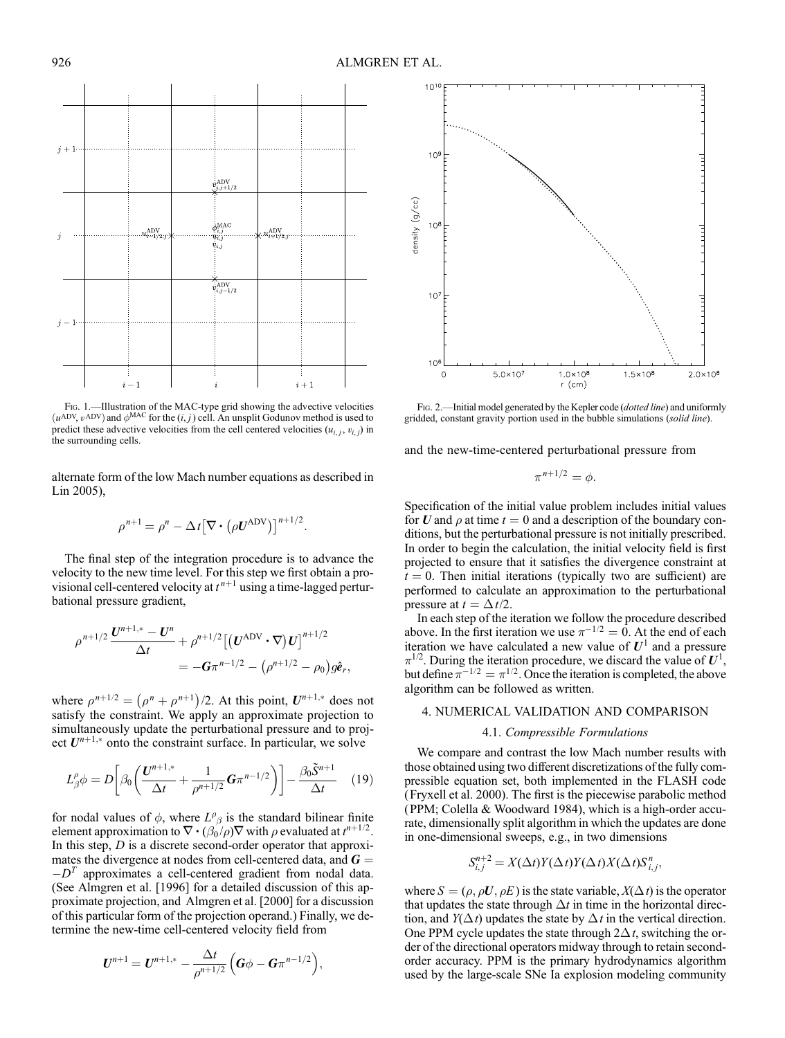FIG. 1.—Illustration of the MAC-type grid showing the advective velocities  $(u^{ADV}, v^{ADV})$  and  $\phi^{MAC}$  for the  $(i, j)$  cell. An unsplit Godunov method is used to predict these advective velocities from the cell centered velocities  $(u_{i,j}, v_{i,j})$  in the surrounding cells.

alternate form of the low Mach number equations as described in Lin 2005),

$$
\rho^{n+1} = \rho^n - \Delta t \big[ \nabla \cdot (\rho \mathbf{U}^{\mathrm{ADV}}) \big]^{n+1/2}.
$$

The final step of the integration procedure is to advance the velocity to the new time level. For this step we first obtain a provisional cell-centered velocity at  $t^{n+1}$  using a time-lagged perturbational pressure gradient,

$$
\rho^{n+1/2} \frac{U^{n+1,*} - U^n}{\Delta t} + \rho^{n+1/2} \left[ \left( U^{\text{ADV}} \cdot \nabla \right) U \right]^{n+1/2}
$$
  
= -G\pi^{n-1/2} - \left( \rho^{n+1/2} - \rho\_0 \right) g\hat{e}\_r,

where  $\rho^{n+1/2} = (\rho^n + \rho^{n+1})/2$ . At this point,  $U^{n+1,*}$  does not satisfy the constraint. We apply an approximate projection to simultaneously update the perturbational pressure and to project  $U^{n+1,*}$  onto the constraint surface. In particular, we solve

$$
L_{\beta}^{\rho} \phi = D \bigg[ \beta_0 \bigg( \frac{\mathbf{U}^{n+1,*}}{\Delta t} + \frac{1}{\rho^{n+1/2}} \mathbf{G} \pi^{n-1/2} \bigg) \bigg] - \frac{\beta_0 \tilde{\mathbf{S}}^{n+1}}{\Delta t} \quad (19)
$$

for nodal values of  $\phi$ , where  $L^{\rho}_{\beta}$  is the standard bilinear finite element approximation to  $\nabla \cdot (\beta_0 / \rho) \nabla$  with  $\rho$  evaluated at  $t^{n+1/2}$ . In this step,  $D$  is a discrete second-order operator that approximates the divergence at nodes from cell-centered data, and  $G =$  $-D<sup>T</sup>$  approximates a cell-centered gradient from nodal data. (See Almgren et al. [1996] for a detailed discussion of this approximate projection, and Almgren et al. [2000] for a discussion of this particular form of the projection operand.) Finally, we determine the new-time cell-centered velocity field from

$$
U^{n+1} = U^{n+1,*} - \frac{\Delta t}{\rho^{n+1/2}} \Big( G\phi - G\pi^{n-1/2} \Big),
$$



 $1.0 \times 10^{8}$ 

 $r$  (cm)

 $1.5 \times 10^{8}$ 

 $2.0 \times 10^{8}$ 

and the new-time-centered perturbational pressure from

 $5.0 \times 10^7$ 

$$
\pi^{n+1/2} = \phi.
$$

Specification of the initial value problem includes initial values for U and  $\rho$  at time  $t = 0$  and a description of the boundary conditions, but the perturbational pressure is not initially prescribed. In order to begin the calculation, the initial velocity field is first projected to ensure that it satisfies the divergence constraint at  $t = 0$ . Then initial iterations (typically two are sufficient) are performed to calculate an approximation to the perturbational pressure at  $t = \Delta t/2$ .

In each step of the iteration we follow the procedure described above. In the first iteration we use  $\pi^{-1/2} = 0$ . At the end of each iteration we have calculated a new value of  $U^1$  and a pressure  $\pi^{1/2}$ . During the iteration procedure, we discard the value of  $U^1$ , but define  $\pi^{-1/2} = \pi^{1/2}$ . Once the iteration is completed, the above algorithm can be followed as written.

#### 4. NUMERICAL VALIDATION AND COMPARISON

### 4.1. Compressible Formulations

We compare and contrast the low Mach number results with those obtained using two different discretizations of the fully compressible equation set, both implemented in the FLASH code (Fryxell et al. 2000). The first is the piecewise parabolic method (PPM; Colella & Woodward 1984), which is a high-order accurate, dimensionally split algorithm in which the updates are done in one-dimensional sweeps, e.g., in two dimensions

$$
S_{i,j}^{n+2} = X(\Delta t)Y(\Delta t)Y(\Delta t)X(\Delta t)S_{i,j}^n,
$$

where  $S = (\rho, \rho U, \rho E)$  is the state variable,  $X(\Delta t)$  is the operator that updates the state through  $\Delta t$  in time in the horizontal direction, and  $Y(\Delta t)$  updates the state by  $\Delta t$  in the vertical direction. One PPM cycle updates the state through  $2\Delta t$ , switching the order of the directional operators midway through to retain secondorder accuracy. PPM is the primary hydrodynamics algorithm used by the large-scale SNe Ia explosion modeling community





 $10$ 

 $10<sup>6</sup>$ 

 $\Omega$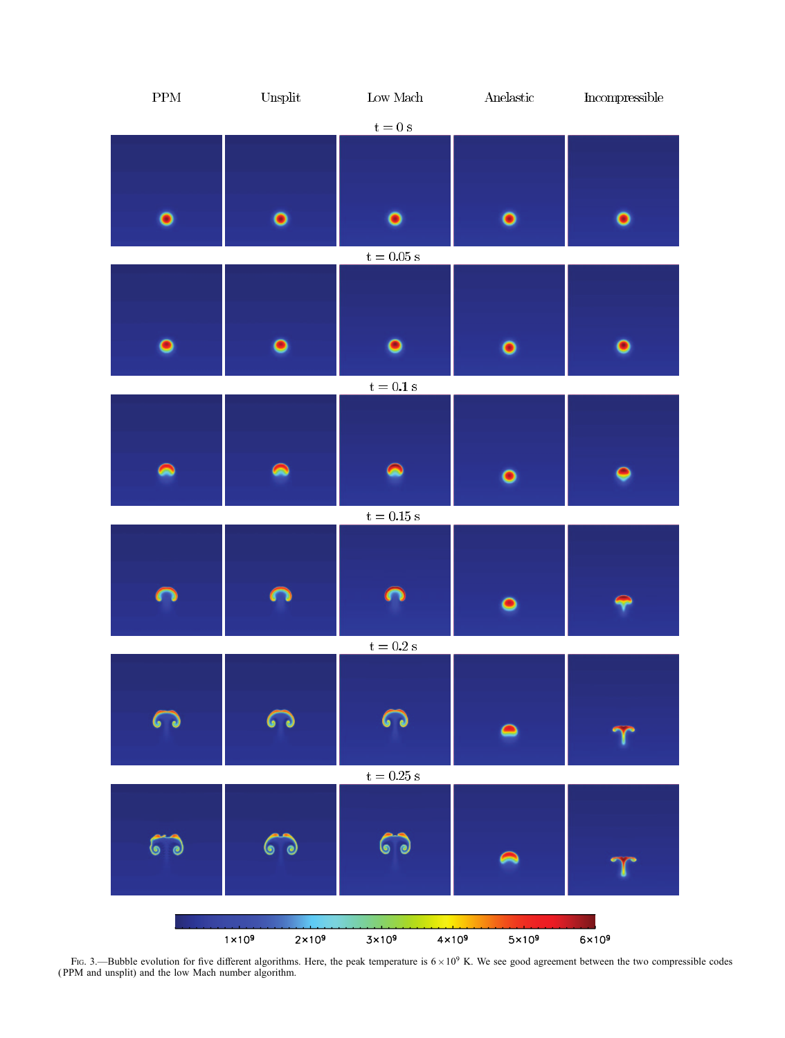

Fig. 3.—Bubble evolution for five different algorithms. Here, the peak temperature is  $6 \times 10^9$  K. We see good agreement between the two compressible codes ( PPM and unsplit) and the low Mach number algorithm.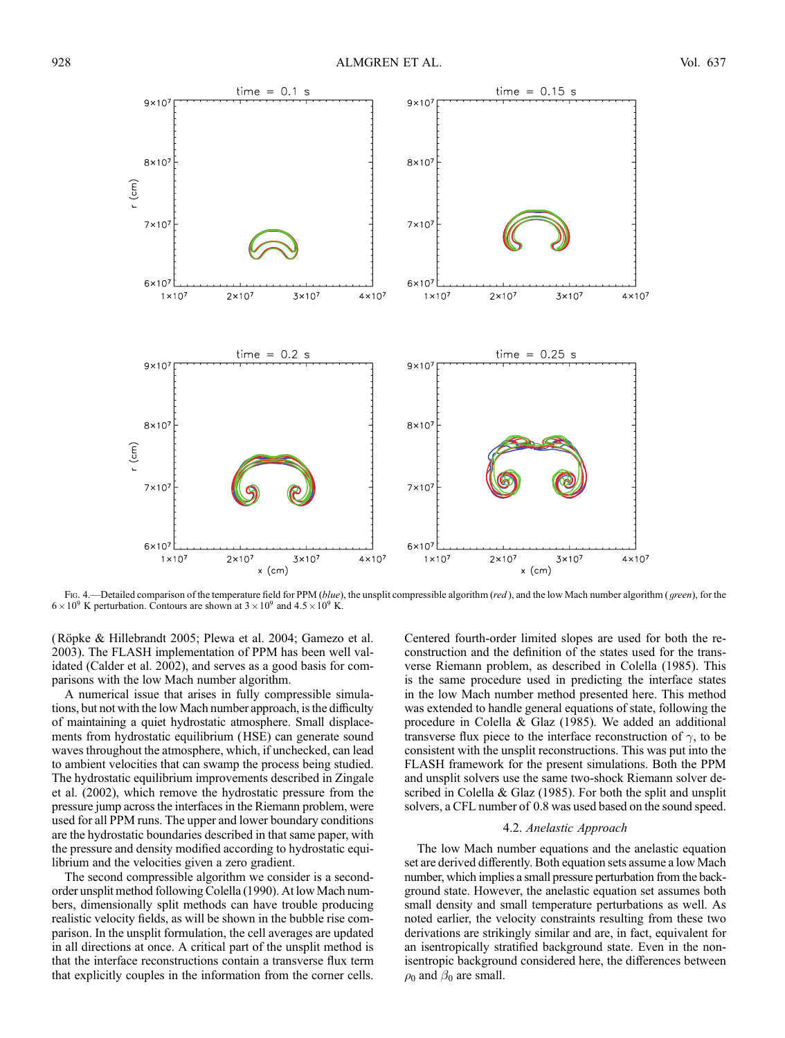

Fig. 4.—Detailed comparison of the temperature field for PPM (blue), the unsplit compressible algorithm (red), and the low Mach number algorithm (green), for the  $6 \times 10^9$  K perturbation. Contours are shown at  $3 \times 10^9$  and  $4.5 \times 10^9$  K.

(Röpke & Hillebrandt 2005; Plewa et al. 2004; Gamezo et al. 2003). The FLASH implementation of PPM has been well validated (Calder et al. 2002), and serves as a good basis for comparisons with the low Mach number algorithm.

A numerical issue that arises in fully compressible simulations, but not with the low Mach number approach, is the difficulty of maintaining a quiet hydrostatic atmosphere. Small displacements from hydrostatic equilibrium (HSE) can generate sound waves throughout the atmosphere, which, if unchecked, can lead to ambient velocities that can swamp the process being studied. The hydrostatic equilibrium improvements described in Zingale et al. (2002), which remove the hydrostatic pressure from the pressure jump across the interfaces in the Riemann problem, were used for all PPM runs. The upper and lower boundary conditions are the hydrostatic boundaries described in that same paper, with the pressure and density modified according to hydrostatic equilibrium and the velocities given a zero gradient.

The second compressible algorithm we consider is a secondorder unsplit method following Colella (1990). At low Mach numbers, dimensionally split methods can have trouble producing realistic velocity fields, as will be shown in the bubble rise comparison. In the unsplit formulation, the cell averages are updated in all directions at once. A critical part of the unsplit method is that the interface reconstructions contain a transverse flux term that explicitly couples in the information from the corner cells.

Centered fourth-order limited slopes are used for both the reconstruction and the definition of the states used for the transverse Riemann problem, as described in Colella (1985). This is the same procedure used in predicting the interface states in the low Mach number method presented here. This method was extended to handle general equations of state, following the procedure in Colella & Glaz (1985). We added an additional transverse flux piece to the interface reconstruction of  $\gamma$ , to be consistent with the unsplit reconstructions. This was put into the FLASH framework for the present simulations. Both the PPM and unsplit solvers use the same two-shock Riemann solver described in Colella & Glaz (1985). For both the split and unsplit solvers, a CFL number of 0.8 was used based on the sound speed.

### 4.2. Anelastic Approach

The low Mach number equations and the anelastic equation set are derived differently. Both equation sets assume a low Mach number, which implies a small pressure perturbation from the background state. However, the anelastic equation set assumes both small density and small temperature perturbations as well. As noted earlier, the velocity constraints resulting from these two derivations are strikingly similar and are, in fact, equivalent for an isentropically stratified background state. Even in the nonisentropic background considered here, the differences between  $\rho_0$  and  $\beta_0$  are small.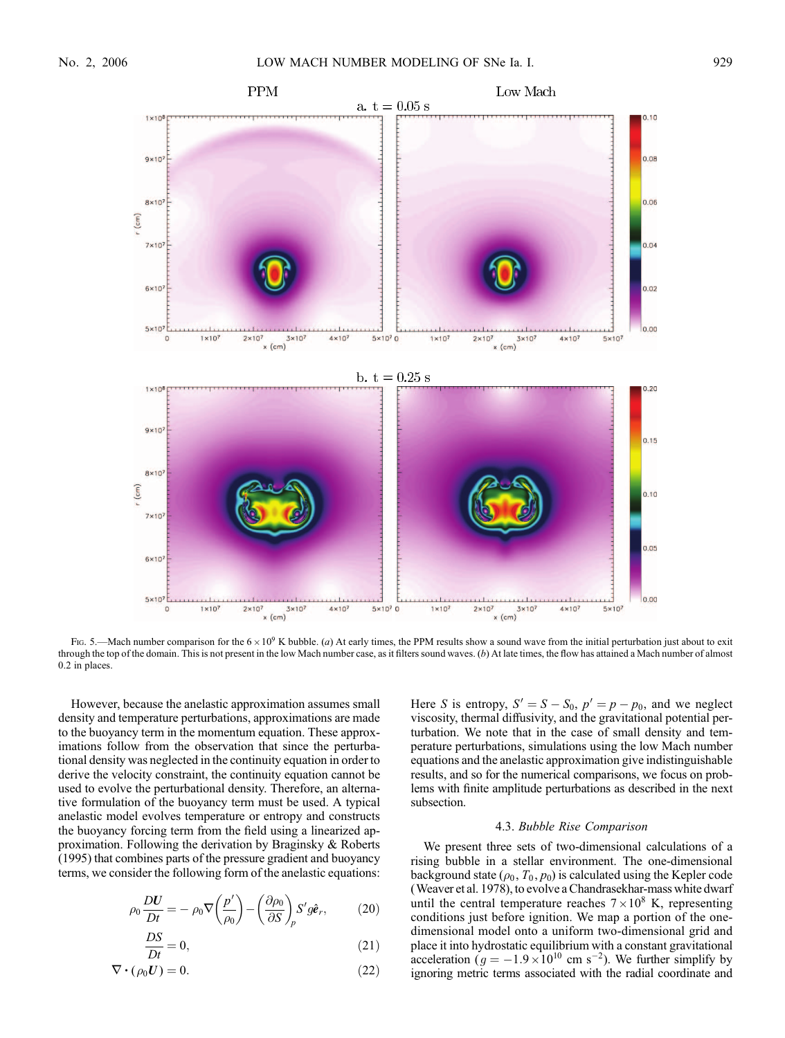

Fig. 5.—Mach number comparison for the  $6 \times 10^9$  K bubble. (a) At early times, the PPM results show a sound wave from the initial perturbation just about to exit through the top of the domain. This is not present in the low Mach number case, as it filters sound waves.  $(b)$  At late times, the flow has attained a Mach number of almost 0.2 in places.

However, because the anelastic approximation assumes small density and temperature perturbations, approximations are made to the buoyancy term in the momentum equation. These approximations follow from the observation that since the perturbational density was neglected in the continuity equation in order to derive the velocity constraint, the continuity equation cannot be used to evolve the perturbational density. Therefore, an alternative formulation of the buoyancy term must be used. A typical anelastic model evolves temperature or entropy and constructs the buoyancy forcing term from the field using a linearized approximation. Following the derivation by Braginsky & Roberts (1995) that combines parts of the pressure gradient and buoyancy terms, we consider the following form of the anelastic equations:

$$
\rho_0 \frac{DU}{Dt} = -\rho_0 \nabla \left(\frac{p'}{\rho_0}\right) - \left(\frac{\partial \rho_0}{\partial S}\right)_p S' g \hat{\mathbf{e}}_r,\tag{20}
$$

$$
\frac{DS}{Dt} = 0,\t(21)
$$

$$
\nabla \cdot (\rho_0 \mathbf{U}) = 0. \tag{22}
$$

Here S is entropy,  $S' = S - S_0$ ,  $p' = p - p_0$ , and we neglect viscosity, thermal diffusivity, and the gravitational potential perturbation. We note that in the case of small density and temperature perturbations, simulations using the low Mach number equations and the anelastic approximation give indistinguishable results, and so for the numerical comparisons, we focus on problems with finite amplitude perturbations as described in the next subsection.

#### 4.3. Bubble Rise Comparison

We present three sets of two-dimensional calculations of a rising bubble in a stellar environment. The one-dimensional background state ( $\rho_0$ ,  $T_0$ ,  $p_0$ ) is calculated using the Kepler code (Weaver et al. 1978), to evolve a Chandrasekhar-mass white dwarf until the central temperature reaches  $7 \times 10^8$  K, representing conditions just before ignition. We map a portion of the onedimensional model onto a uniform two-dimensional grid and place it into hydrostatic equilibrium with a constant gravitational acceleration ( $g = -1.9 \times 10^{10}$  cm s<sup>-2</sup>). We further simplify by ignoring metric terms associated with the radial coordinate and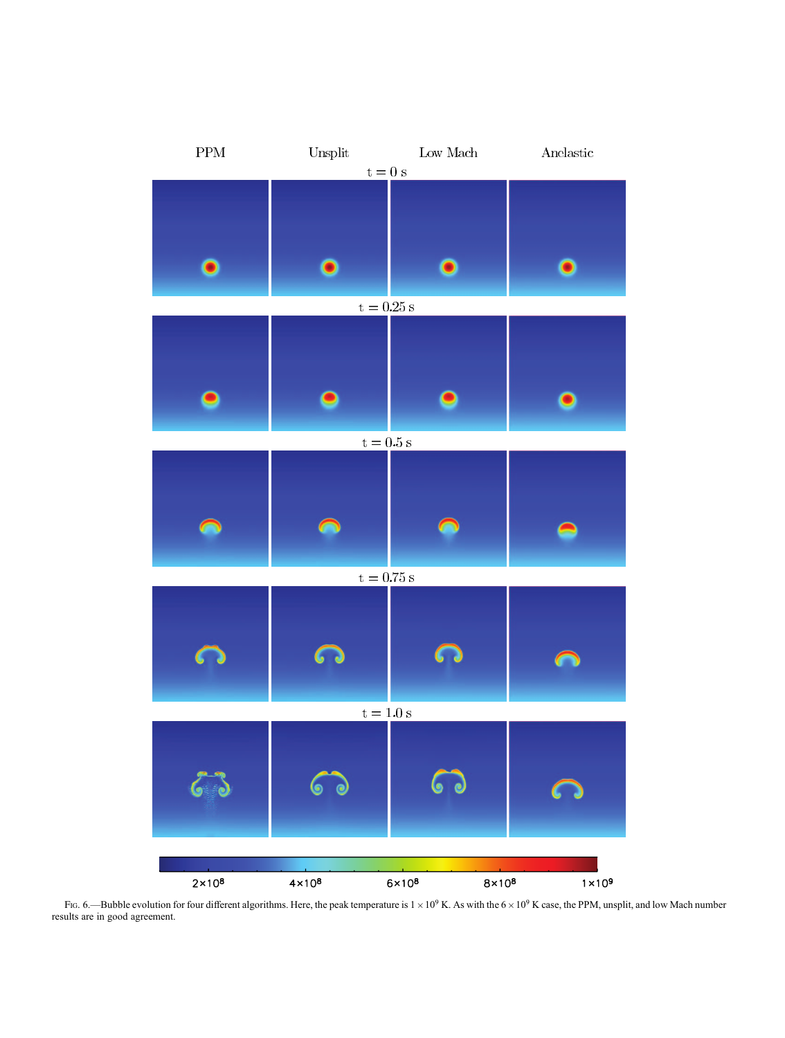

FIG. 6.—Bubble evolution for four different algorithms. Here, the peak temperature is  $1 \times 10^9$  K. As with the  $6 \times 10^9$  K case, the PPM, unsplit, and low Mach number results are in good agreement.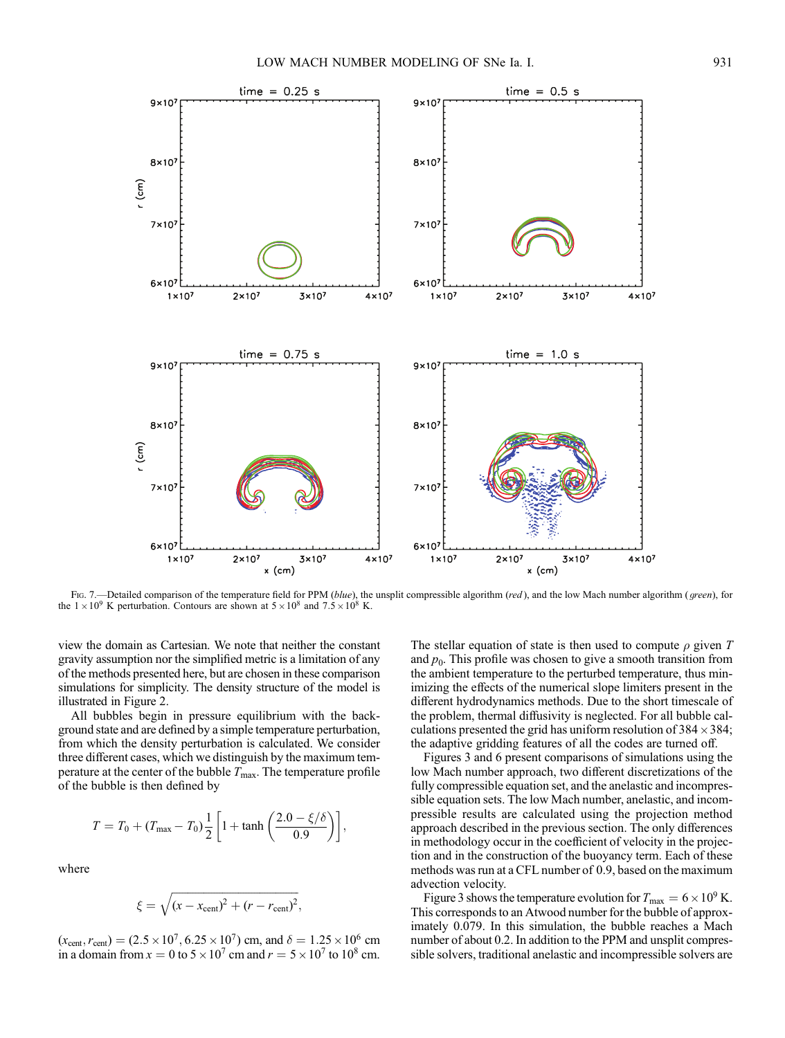

Fig. 7.—Detailed comparison of the temperature field for PPM (blue), the unsplit compressible algorithm (red), and the low Mach number algorithm (green), for the  $1 \times 10^9$  K perturbation. Contours are shown at  $5 \times 10^8$  and  $7.5 \times 10^8$  K.

view the domain as Cartesian. We note that neither the constant gravity assumption nor the simplified metric is a limitation of any of the methods presented here, but are chosen in these comparison simulations for simplicity. The density structure of the model is illustrated in Figure 2.

All bubbles begin in pressure equilibrium with the background state and are defined by a simple temperature perturbation, from which the density perturbation is calculated. We consider three different cases, which we distinguish by the maximum temperature at the center of the bubble  $T_{\text{max}}$ . The temperature profile of the bubble is then defined by

$$
T = T_0 + (T_{\text{max}} - T_0) \frac{1}{2} \left[ 1 + \tanh\left(\frac{2.0 - \xi/\delta}{0.9}\right) \right],
$$

where

$$
\xi = \sqrt{(x - x_{\text{cent}})^2 + (r - r_{\text{cent}})^2},
$$

 $(x_{cent}, r_{cent}) = (2.5 \times 10^7, 6.25 \times 10^7)$  cm, and  $\delta = 1.25 \times 10^6$  cm in a domain from  $x = 0$  to  $5 \times 10^7$  cm and  $r = 5 \times 10^7$  to  $10^8$  cm. The stellar equation of state is then used to compute  $\rho$  given T and  $p_0$ . This profile was chosen to give a smooth transition from the ambient temperature to the perturbed temperature, thus minimizing the effects of the numerical slope limiters present in the different hydrodynamics methods. Due to the short timescale of the problem, thermal diffusivity is neglected. For all bubble calculations presented the grid has uniform resolution of  $384 \times 384$ ; the adaptive gridding features of all the codes are turned off.

Figures 3 and 6 present comparisons of simulations using the low Mach number approach, two different discretizations of the fully compressible equation set, and the anelastic and incompressible equation sets. The low Mach number, anelastic, and incompressible results are calculated using the projection method approach described in the previous section. The only differences in methodology occur in the coefficient of velocity in the projection and in the construction of the buoyancy term. Each of these methods was run at a CFL number of 0.9, based on the maximum advection velocity.

Figure 3 shows the temperature evolution for  $T_{\text{max}} = 6 \times 10^9$  K. This corresponds to an Atwood number for the bubble of approximately 0.079. In this simulation, the bubble reaches a Mach number of about 0.2. In addition to the PPM and unsplit compressible solvers, traditional anelastic and incompressible solvers are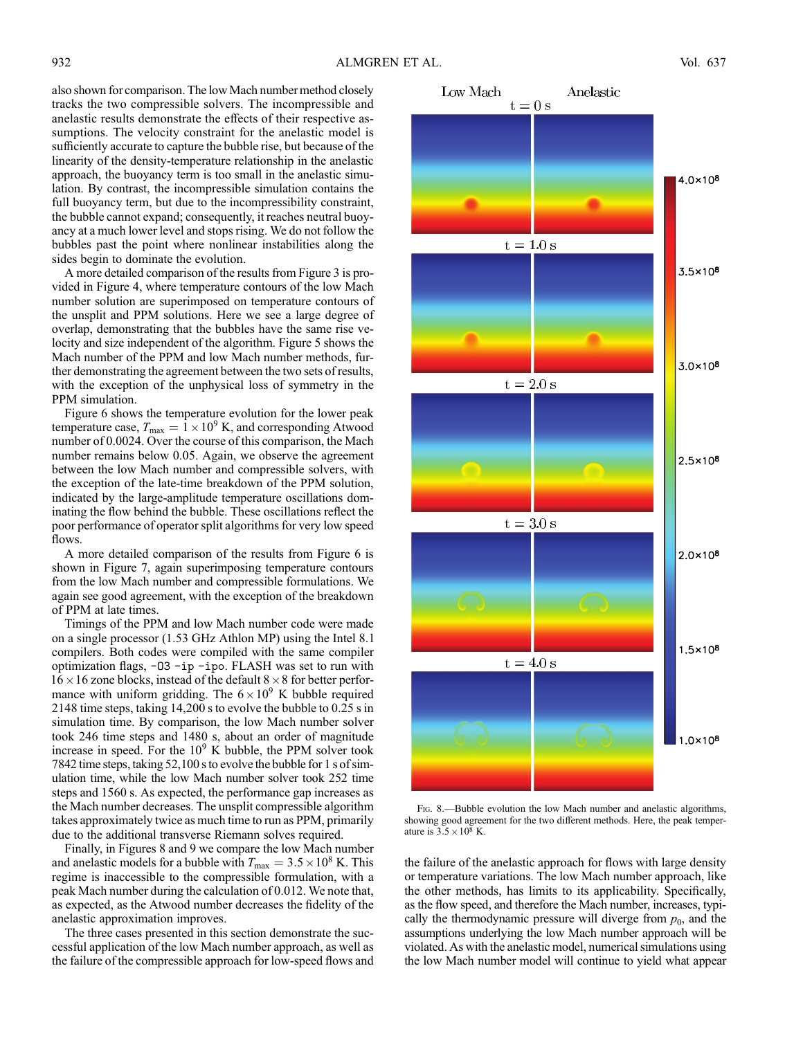also shown for comparison. The low Mach number method closely tracks the two compressible solvers. The incompressible and anelastic results demonstrate the effects of their respective assumptions. The velocity constraint for the anelastic model is sufficiently accurate to capture the bubble rise, but because of the linearity of the density-temperature relationship in the anelastic approach, the buoyancy term is too small in the anelastic simulation. By contrast, the incompressible simulation contains the full buoyancy term, but due to the incompressibility constraint, the bubble cannot expand; consequently, it reaches neutral buoyancy at a much lower level and stops rising. We do not follow the bubbles past the point where nonlinear instabilities along the sides begin to dominate the evolution.

A more detailed comparison of the results from Figure 3 is provided in Figure 4, where temperature contours of the low Mach number solution are superimposed on temperature contours of the unsplit and PPM solutions. Here we see a large degree of overlap, demonstrating that the bubbles have the same rise velocity and size independent of the algorithm. Figure 5 shows the Mach number of the PPM and low Mach number methods, further demonstrating the agreement between the two sets of results, with the exception of the unphysical loss of symmetry in the PPM simulation.

Figure 6 shows the temperature evolution for the lower peak temperature case,  $T_{\text{max}} = 1 \times 10^9$  K, and corresponding Atwood number of 0.0024. Over the course of this comparison, the Mach number remains below 0.05. Again, we observe the agreement between the low Mach number and compressible solvers, with the exception of the late-time breakdown of the PPM solution, indicated by the large-amplitude temperature oscillations dominating the flow behind the bubble. These oscillations reflect the poor performance of operator split algorithms for very low speed flows.

A more detailed comparison of the results from Figure 6 is shown in Figure 7, again superimposing temperature contours from the low Mach number and compressible formulations. We again see good agreement, with the exception of the breakdown of PPM at late times.

Timings of the PPM and low Mach number code were made on a single processor (1.53 GHz Athlon MP) using the Intel 8.1 compilers. Both codes were compiled with the same compiler optimization flags, -O3 -ip -ipo. FLASH was set to run with  $16 \times 16$  zone blocks, instead of the default  $8 \times 8$  for better performance with uniform gridding. The  $6 \times 10^9$  K bubble required 2148 time steps, taking 14,200 s to evolve the bubble to 0.25 s in simulation time. By comparison, the low Mach number solver took 246 time steps and 1480 s, about an order of magnitude increase in speed. For the  $10<sup>9</sup>$  K bubble, the PPM solver took 7842 time steps, taking 52,100 s to evolve the bubble for 1 s of simulation time, while the low Mach number solver took 252 time steps and 1560 s. As expected, the performance gap increases as the Mach number decreases. The unsplit compressible algorithm takes approximately twice as much time to run as PPM, primarily due to the additional transverse Riemann solves required.

Finally, in Figures 8 and 9 we compare the low Mach number and anelastic models for a bubble with  $T_{\text{max}} = 3.5 \times 10^8$  K. This regime is inaccessible to the compressible formulation, with a peak Mach number during the calculation of 0.012. We note that, as expected, as the Atwood number decreases the fidelity of the anelastic approximation improves.

The three cases presented in this section demonstrate the successful application of the low Mach number approach, as well as the failure of the compressible approach for low-speed flows and



FIG. 8.—Bubble evolution the low Mach number and anelastic algorithms, showing good agreement for the two different methods. Here, the peak temperature is  $3.5 \times 10^8$  K.

the failure of the anelastic approach for flows with large density or temperature variations. The low Mach number approach, like the other methods, has limits to its applicability. Specifically, as the flow speed, and therefore the Mach number, increases, typically the thermodynamic pressure will diverge from  $p_0$ , and the assumptions underlying the low Mach number approach will be violated. As with the anelastic model, numerical simulations using the low Mach number model will continue to yield what appear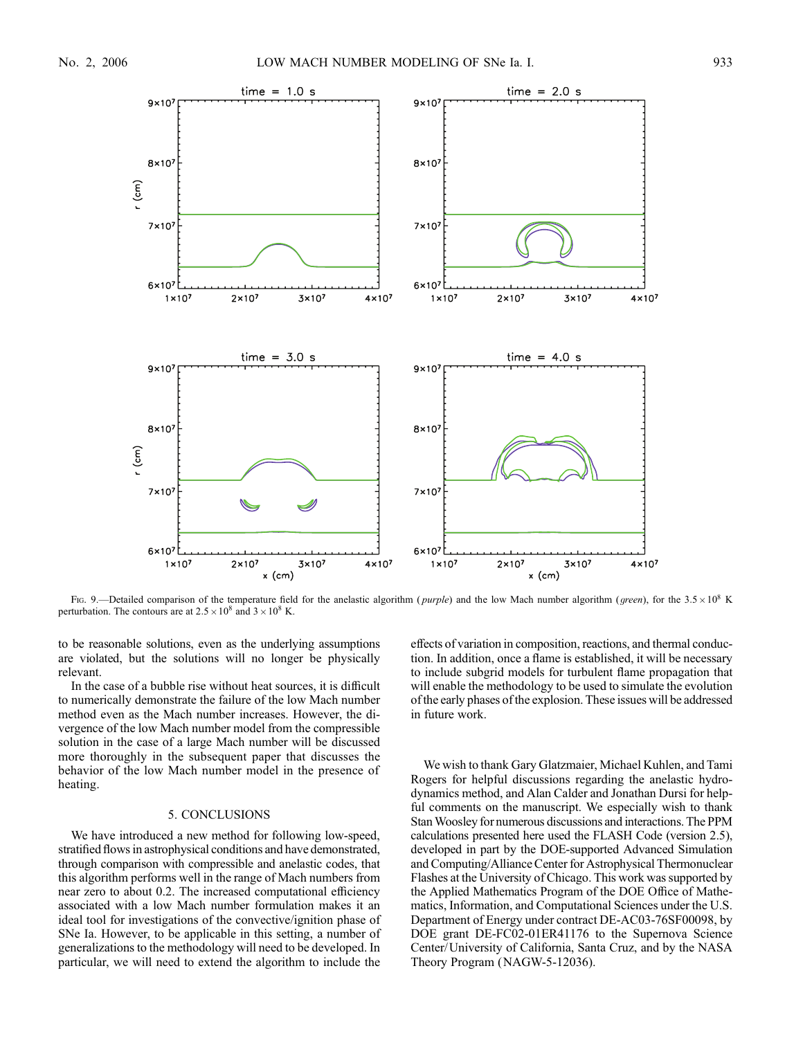

Fig. 9.—Detailed comparison of the temperature field for the anelastic algorithm (*purple*) and the low Mach number algorithm (*green*), for the 3.5  $\times$  10<sup>8</sup> K perturbation. The contours are at  $2.5 \times 10^8$  and  $3 \times 10^8$  K.

to be reasonable solutions, even as the underlying assumptions are violated, but the solutions will no longer be physically relevant.

In the case of a bubble rise without heat sources, it is difficult to numerically demonstrate the failure of the low Mach number method even as the Mach number increases. However, the divergence of the low Mach number model from the compressible solution in the case of a large Mach number will be discussed more thoroughly in the subsequent paper that discusses the behavior of the low Mach number model in the presence of heating.

## 5. CONCLUSIONS

We have introduced a new method for following low-speed, stratified flows in astrophysical conditions and have demonstrated, through comparison with compressible and anelastic codes, that this algorithm performs well in the range of Mach numbers from near zero to about 0.2. The increased computational efficiency associated with a low Mach number formulation makes it an ideal tool for investigations of the convective/ignition phase of SNe Ia. However, to be applicable in this setting, a number of generalizations to the methodology will need to be developed. In particular, we will need to extend the algorithm to include the effects of variation in composition, reactions, and thermal conduction. In addition, once a flame is established, it will be necessary to include subgrid models for turbulent flame propagation that will enable the methodology to be used to simulate the evolution of the early phases of the explosion. These issues will be addressed in future work.

We wish to thank Gary Glatzmaier, Michael Kuhlen, and Tami Rogers for helpful discussions regarding the anelastic hydrodynamics method, and Alan Calder and Jonathan Dursi for helpful comments on the manuscript. We especially wish to thank Stan Woosley for numerous discussions and interactions. The PPM calculations presented here used the FLASH Code (version 2.5), developed in part by the DOE-supported Advanced Simulation and Computing/Alliance Center for Astrophysical Thermonuclear Flashes at the University of Chicago. This work was supported by the Applied Mathematics Program of the DOE Office of Mathematics, Information, and Computational Sciences under the U.S. Department of Energy under contract DE-AC03-76SF00098, by DOE grant DE-FC02-01ER41176 to the Supernova Science Center/University of California, Santa Cruz, and by the NASA Theory Program (NAGW-5-12036).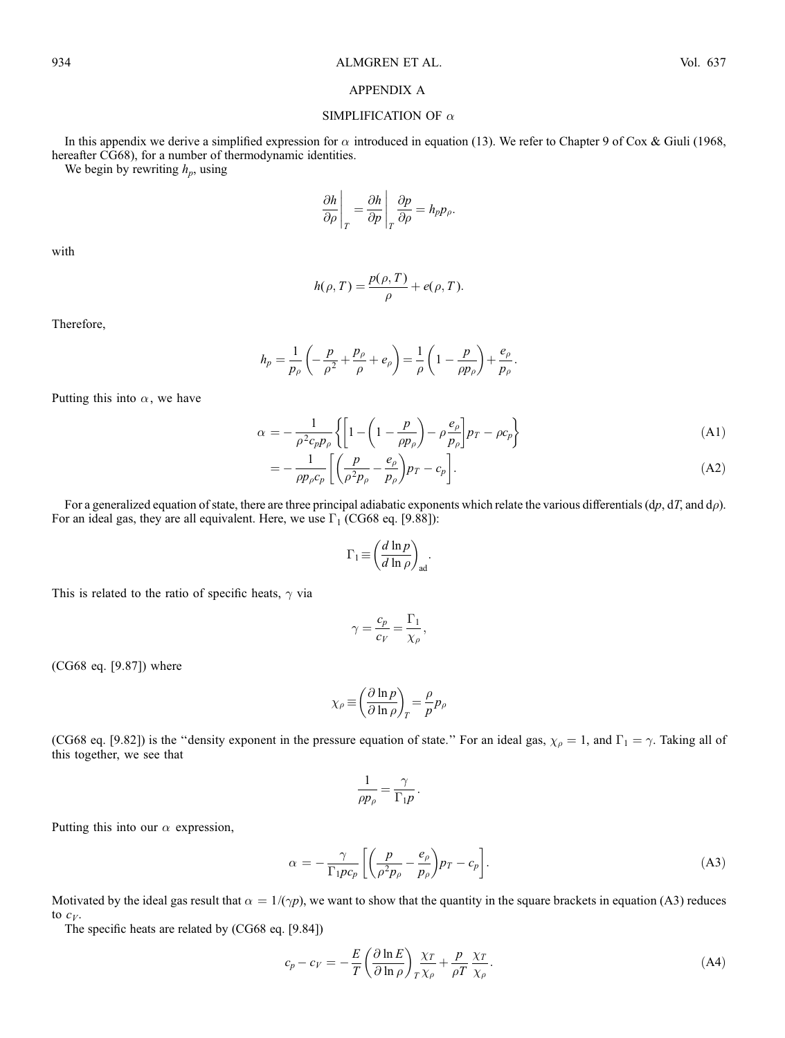# APPENDIX A

# SIMPLIFICATION OF  $\alpha$

In this appendix we derive a simplified expression for  $\alpha$  introduced in equation (13). We refer to Chapter 9 of Cox & Giuli (1968, hereafter CG68), for a number of thermodynamic identities.

We begin by rewriting  $h_p$ , using

$$
\left.\frac{\partial h}{\partial \rho}\right|_T = \frac{\partial h}{\partial p}\right|_T \frac{\partial p}{\partial \rho} = h_p p_\rho.
$$

with

$$
h(\rho, T) = \frac{p(\rho, T)}{\rho} + e(\rho, T).
$$

Therefore,

$$
h_p = \frac{1}{p_\rho} \left( -\frac{p}{\rho^2} + \frac{p_\rho}{\rho} + e_\rho \right) = \frac{1}{\rho} \left( 1 - \frac{p}{\rho p_\rho} \right) + \frac{e_\rho}{p_\rho}.
$$

Putting this into  $\alpha$ , we have

$$
\alpha = -\frac{1}{\rho^2 c_p p_\rho} \left\{ \left[ 1 - \left( 1 - \frac{p}{\rho p_\rho} \right) - \rho \frac{e_\rho}{p_\rho} \right] p_T - \rho c_p \right\} \tag{A1}
$$

$$
= -\frac{1}{\rho p_{\rho} c_p} \left[ \left( \frac{p}{\rho^2 p_{\rho}} - \frac{e_{\rho}}{p_{\rho}} \right) p_T - c_p \right]. \tag{A2}
$$

For a generalized equation of state, there are three principal adiabatic exponents which relate the various differentials  $(dp, dT, and d\rho$ . For an ideal gas, they are all equivalent. Here, we use  $\Gamma_1$  (CG68 eq. [9.88]):

$$
\Gamma_1 \equiv \left(\frac{d \ln p}{d \ln \rho}\right)_{\text{ad}}.
$$

This is related to the ratio of specific heats,  $\gamma$  via

$$
\gamma = \frac{c_p}{c_V} = \frac{\Gamma_1}{\chi_\rho},
$$

(CG68 eq. [9.87]) where

$$
\chi_{\rho} \equiv \left(\frac{\partial \ln p}{\partial \ln \rho}\right)_{T} = \frac{\rho}{p} p_{\rho}
$$

(CG68 eq. [9.82]) is the "density exponent in the pressure equation of state." For an ideal gas,  $\chi_{\rho} = 1$ , and  $\Gamma_1 = \gamma$ . Taking all of this together, we see that

$$
\frac{1}{\rho p_{\rho}} = \frac{\gamma}{\Gamma_1 p}.
$$

Putting this into our  $\alpha$  expression,

$$
\alpha = -\frac{\gamma}{\Gamma_1 p c_p} \left[ \left( \frac{p}{\rho^2 p_\rho} - \frac{e_\rho}{p_\rho} \right) p_T - c_p \right]. \tag{A3}
$$

Motivated by the ideal gas result that  $\alpha = 1/(\gamma p)$ , we want to show that the quantity in the square brackets in equation (A3) reduces to  $c_V$ .

The specific heats are related by (CG68 eq. [9.84])

$$
c_p - c_V = -\frac{E}{T} \left( \frac{\partial \ln E}{\partial \ln \rho} \right) \frac{\chi_T}{T \chi_\rho} + \frac{p}{\rho T} \frac{\chi_T}{\chi_\rho}.
$$
 (A4)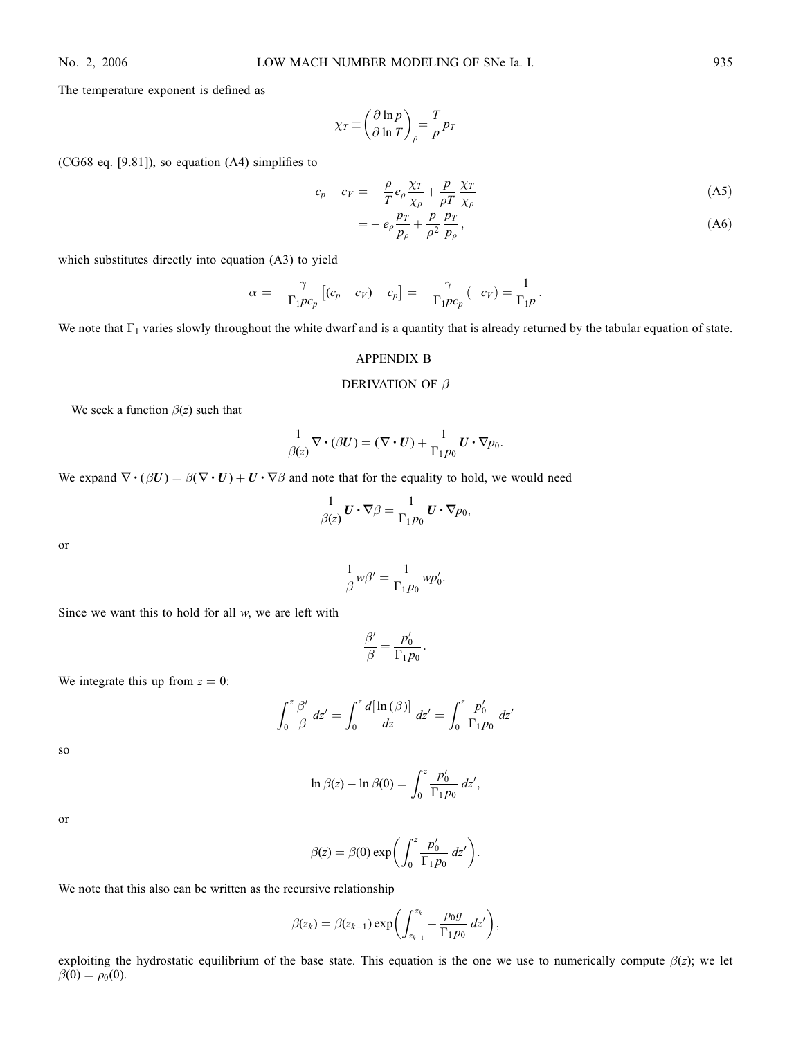The temperature exponent is defined as

$$
\chi_T \equiv \left(\frac{\partial \ln p}{\partial \ln T}\right)_\rho = \frac{T}{p} p_T
$$

(CG68 eq. [9.81]), so equation (A4) simplifies to

$$
c_p - c_V = -\frac{\rho}{T} e_\rho \frac{\chi_T}{\chi_\rho} + \frac{p}{\rho T} \frac{\chi_T}{\chi_\rho}
$$
(A5)

$$
= -e_{\rho} \frac{p_T}{p_{\rho}} + \frac{p}{\rho^2} \frac{p_T}{p_{\rho}}, \tag{A6}
$$

which substitutes directly into equation (A3) to yield

$$
\alpha = -\frac{\gamma}{\Gamma_1 p c_p} \left[ (c_p - c_V) - c_p \right] = -\frac{\gamma}{\Gamma_1 p c_p} (-c_V) = \frac{1}{\Gamma_1 p}.
$$

We note that  $\Gamma_1$  varies slowly throughout the white dwarf and is a quantity that is already returned by the tabular equation of state.

### APPENDIX B

### DERIVATION OF  $\beta$

We seek a function  $\beta(z)$  such that

$$
\frac{1}{\beta(z)}\nabla\cdot(\beta U)=(\nabla\cdot U)+\frac{1}{\Gamma_1p_0}U\cdot\nabla p_0.
$$

We expand  $\nabla \cdot (\beta U) = \beta(\nabla \cdot U) + U \cdot \nabla \beta$  and note that for the equality to hold, we would need

$$
\frac{1}{\beta(z)}\mathbf{U}\cdot\nabla\beta=\frac{1}{\Gamma_1p_0}\mathbf{U}\cdot\nabla p_0,
$$

or

$$
\frac{1}{\beta}w\beta' = \frac{1}{\Gamma_1 p_0} w p'_0.
$$

Since we want this to hold for all  $w$ , we are left with

$$
\frac{\beta'}{\beta} = \frac{p'_0}{\Gamma_1 p_0}.
$$

We integrate this up from  $z = 0$ :

$$
\int_0^z \frac{\beta'}{\beta} dz' = \int_0^z \frac{d[\ln(\beta)]}{dz} dz' = \int_0^z \frac{p'_0}{\Gamma_1 p_0} dz'
$$

so

$$
\ln \beta(z) - \ln \beta(0) = \int_0^z \frac{p'_0}{\Gamma_1 p_0} \, dz',
$$

or

$$
\beta(z) = \beta(0) \exp\left(\int_0^z \frac{p'_0}{\Gamma_1 p_0} dz'\right).
$$

We note that this also can be written as the recursive relationship

$$
\beta(z_k) = \beta(z_{k-1}) \exp\biggl(\int_{z_{k-1}}^{z_k} -\frac{\rho_0 g}{\Gamma_1 p_0} dz'\biggr),
$$

exploiting the hydrostatic equilibrium of the base state. This equation is the one we use to numerically compute  $\beta(z)$ ; we let  $\beta(0) = \rho_0(0)$ .